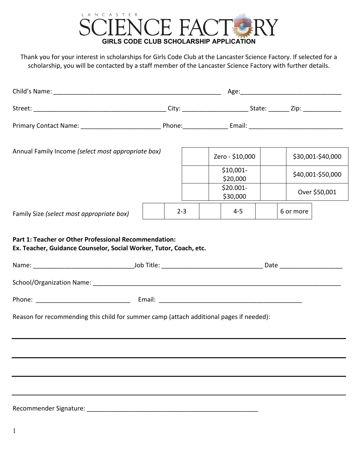

Thank you for your interest in scholarships for Girls Code Club at the Lancaster Science Factory. If selected for a scholarship, you will be contacted by a staff member of the Lancaster Science Factory with further details.

| Annual Family Income (select most appropriate box)                                      |         | Zero - \$10,000        | \$30,001-\$40,000 |
|-----------------------------------------------------------------------------------------|---------|------------------------|-------------------|
|                                                                                         |         | $$10,001-$<br>\$20,000 | \$40,001-\$50,000 |
|                                                                                         |         | \$20.001-<br>\$30,000  | Over \$50,001     |
| Family Size (select most appropriate box)                                               | $2 - 3$ | $4 - 5$                | 6 or more         |
|                                                                                         |         |                        |                   |
|                                                                                         |         |                        |                   |
|                                                                                         |         |                        |                   |
| Reason for recommending this child for summer camp (attach additional pages if needed): |         |                        |                   |
|                                                                                         |         |                        |                   |
|                                                                                         |         |                        |                   |
|                                                                                         |         |                        |                   |
|                                                                                         |         |                        |                   |
| Recommender Signature:                                                                  |         |                        |                   |